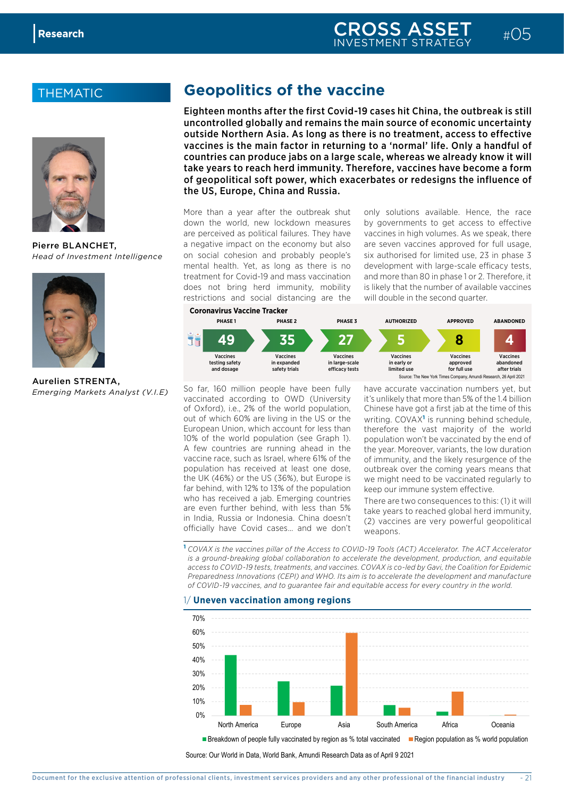## **THEMATIC**



Pierre BLANCHET, *Head of Investment Intelligence*



Aurelien STRENTA, *Emerging Markets Analyst (V.I.E)*

## **Geopolitics of the vaccine**

Eighteen months after the first Covid-19 cases hit China, the outbreak is still uncontrolled globally and remains the main source of economic uncertainty outside Northern Asia. As long as there is no treatment, access to effective vaccines is the main factor in returning to a 'normal' life. Only a handful of countries can produce jabs on a large scale, whereas we already know it will take years to reach herd immunity. Therefore, vaccines have become a form of geopolitical soft power, which exacerbates or redesigns the influence of the US, Europe, China and Russia.

More than a year after the outbreak shut down the world, new lockdown measures are perceived as political failures. They have a negative impact on the economy but also on social cohesion and probably people's mental health. Yet, as long as there is no treatment for Covid-19 and mass vaccination does not bring herd immunity, mobility restrictions and social distancing are the

only solutions available. Hence, the race by governments to get access to effective vaccines in high volumes. As we speak, there are seven vaccines approved for full usage, six authorised for limited use, 23 in phase 3 development with large-scale efficacy tests, and more than 80 in phase 1 or 2. Therefore, it is likely that the number of available vaccines will double in the second quarter.



So far, 160 million people have been fully vaccinated according to OWD (University of Oxford), i.e., 2% of the world population, out of which 60% are living in the US or the European Union, which account for less than 10% of the world population (see Graph 1). A few countries are running ahead in the vaccine race, such as Israel, where 61% of the population has received at least one dose, the UK (46%) or the US (36%), but Europe is far behind, with 12% to 13% of the population who has received a jab. Emerging countries are even further behind, with less than 5% in India, Russia or Indonesia. China doesn't officially have Covid cases… and we don't

have accurate vaccination numbers yet, but it's unlikely that more than 5% of the 1.4 billion Chinese have got a first jab at the time of this writing. COVAX<sup>1</sup> is running behind schedule, therefore the vast majority of the world population won't be vaccinated by the end of the year. Moreover, variants, the low duration of immunity, and the likely resurgence of the outbreak over the coming years means that we might need to be vaccinated regularly to keep our immune system effective.

There are two consequences to this: (1) it will take years to reached global herd immunity, (2) vaccines are very powerful geopolitical weapons.

**<sup>1</sup>** *COVAX is the vaccines pillar of the Access to COVID-19 Tools (ACT) Accelerator. The ACT Accelerator is a ground-breaking global collaboration to accelerate the development, production, and equitable access to COVID-19 tests, treatments, and vaccines. COVAX is co-led by Gavi, the Coalition for Epidemic Preparedness Innovations (CEPI) and WHO. Its aim is to accelerate the development and manufacture*  of COVID-19 vaccines, and to guarantee fair and equitable access for every country in the world.

1/ **Uneven vaccination among regions**



Source: Our World in Data, World Bank, Amundi Research Data as of April 9 2021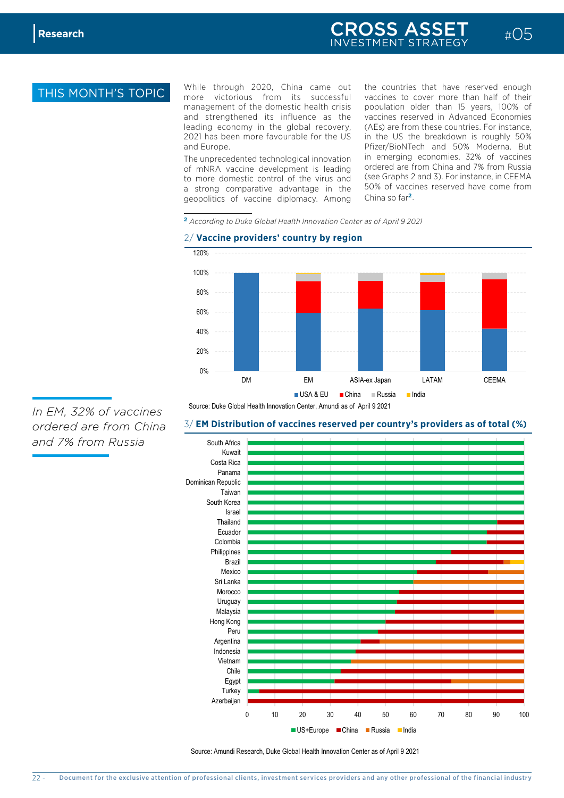$\frac{4}{3}$ 

70%

management of the domestic health crisis 10% more victorious from its successful While through 2020, China came out nd Europe. **Our Canadian Source: Canadian Pfizer/BioNTech and 50% Moderna.** But and strengthened its influence as the leading economy in the global recovery, 2021 has been more favourable for the US and Europe.

The unprecedented technological innovation of mNRA vaccine development is leading to more domestic control of the virus and a strong comparative advantage in the geopolitics of vaccine diplomacy. Among

ngthened its influence as the vaccines reserved in Advanced Economies incomponed by region and the US in the US the breakdown is roughly 50% the countries that have reserved enough vaccines to cover more than half of their population older than 15 years, 100% of (AEs) are from these countries. For instance, in emerging economies, 32% of vaccines ordered are from China and 7% from Russia (see Graphs 2 and 3). For instance, in CEEMA 50% of vaccines reserved have come from China so far**<sup>2</sup>**.

 $\#$ <del>05</del>

**Vaccine providers' country by region <sup>2</sup>** *According to Duke Global Health Innovation Center as of April 9 2021*

## 2/ **Vaccine providers' country by region**



Source: Duke Global Health Innovation Center, Amundi as of April 9 2021

## 3/ **EM Distribution of vaccines reserved per country's providers as of total (%)**

0 10 20 30 40 50 60 70 80 90 100 South Africa Kuwait Costa Rica Panama Dominican Republic Taiwan South Korea Israel Thailand Ecuador Colombia Philippines Brazil Mexico Sri Lanka Morocco Uruguay Malaysia Hong Kong Peru Argentina Indonesia Vietnam Chile Egypt **Turkey** Azerbaijan ■ US+Europe ■ China ■ Russia ■ India

*In EM, 32% of vaccines ordered are from China and 7% from Russia*

Source: Amundi Research, Duke Global Health Innovation Center as of April 9 2021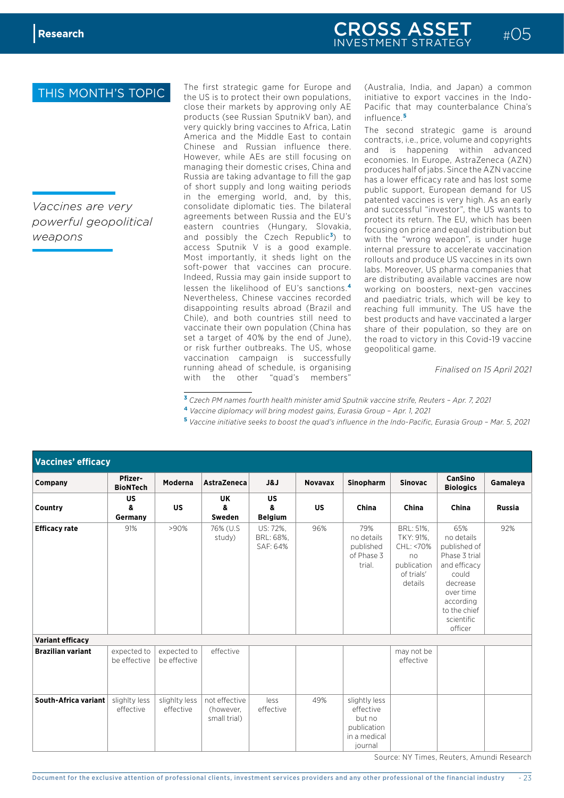*Vaccines are very powerful geopolitical weapons*

The first strategic game for Europe and the US is to protect their own populations, close their markets by approving only AE products (see Russian SputnikV ban), and very quickly bring vaccines to Africa, Latin America and the Middle East to contain Chinese and Russian influence there. However, while AEs are still focusing on managing their domestic crises, China and Russia are taking advantage to fill the gap of short supply and long waiting periods in the emerging world, and, by this, consolidate diplomatic ties. The bilateral agreements between Russia and the EU's eastern countries (Hungary, Slovakia, and possibly the Czech Republic**<sup>3</sup>** ) to access Sputnik V is a good example. Most importantly, it sheds light on the soft-power that vaccines can procure. Indeed, Russia may gain inside support to lessen the likelihood of EU's sanctions.**<sup>4</sup>** Nevertheless, Chinese vaccines recorded disappointing results abroad (Brazil and Chile), and both countries still need to vaccinate their own population (China has set a target of 40% by the end of June), or risk further outbreaks. The US, whose vaccination campaign is successfully running ahead of schedule, is organising with the other "quad's members"

(Australia, India, and Japan) a common initiative to export vaccines in the Indo-Pacific that may counterbalance China's influence.**<sup>5</sup>**

The second strategic game is around contracts, i.e., price, volume and copyrights and is happening within advanced economies. In Europe, AstraZeneca (AZN) produces half of jabs. Since the AZN vaccine has a lower efficacy rate and has lost some public support, European demand for US patented vaccines is very high. As an early and successful "investor", the US wants to protect its return. The EU, which has been focusing on price and equal distribution but with the "wrong weapon", is under huge internal pressure to accelerate vaccination rollouts and produce US vaccines in its own labs. Moreover, US pharma companies that are distributing available vaccines are now working on boosters, next-gen vaccines and paediatric trials, which will be key to reaching full immunity. The US have the best products and have vaccinated a larger share of their population, so they are on the road to victory in this Covid-19 vaccine geopolitical game.

*Finalised on 15 April 2021*

**<sup>3</sup>** *Czech PM names fourth health minister amid Sputnik vaccine strife, Reuters – Apr. 7, 2021*

- **4** *Vaccine diplomacy will bring modest gains, Eurasia Group Apr. 1, 2021*
- **<sup>5</sup>** *Vaccine initiative seeks to boost the quad's influence in the Indo-Pacific, Eurasia Group Mar. 5, 2021*

| <b>Vaccines' efficacy</b> |                             |                             |                                            |                                   |                |                                                                                |                                                                                   |                                                                                                                                                            |               |
|---------------------------|-----------------------------|-----------------------------|--------------------------------------------|-----------------------------------|----------------|--------------------------------------------------------------------------------|-----------------------------------------------------------------------------------|------------------------------------------------------------------------------------------------------------------------------------------------------------|---------------|
| Company                   | Pfizer-<br><b>BioNTech</b>  | Moderna                     | <b>AstraZeneca</b>                         | J&J                               | <b>Novavax</b> | Sinopharm                                                                      | <b>Sinovac</b>                                                                    | <b>CanSino</b><br><b>Biologics</b>                                                                                                                         | Gamaleya      |
| Country                   | <b>US</b><br>&<br>Germany   | <b>US</b>                   | UK<br>&<br>Sweden                          | US<br>&<br><b>Belgium</b>         | <b>US</b>      | China                                                                          | <b>China</b>                                                                      | China                                                                                                                                                      | <b>Russia</b> |
| <b>Efficacy rate</b>      | 91%                         | >90%                        | 76% (U.S.<br>study)                        | US: 72%,<br>BRL: 68%,<br>SAF: 64% | 96%            | 79%<br>no details<br>published<br>of Phase 3<br>trial.                         | BRL: 51%,<br>TKY: 91%,<br>CHL: <70%<br>no<br>publication<br>of trials'<br>details | 65%<br>no details<br>published of<br>Phase 3 trial<br>and efficacy<br>could<br>decrease<br>over time<br>according<br>to the chief<br>scientific<br>officer | 92%           |
| <b>Variant efficacy</b>   |                             |                             |                                            |                                   |                |                                                                                |                                                                                   |                                                                                                                                                            |               |
| <b>Brazilian variant</b>  | expected to<br>be effective | expected to<br>be effective | effective                                  |                                   |                |                                                                                | may not be<br>effective                                                           |                                                                                                                                                            |               |
| South-Africa variant      | slighlty less<br>effective  | slighlty less<br>effective  | not effective<br>(however,<br>small trial) | less<br>effective                 | 49%            | slightly less<br>effective<br>but no<br>publication<br>in a medical<br>journal |                                                                                   |                                                                                                                                                            |               |

Source: NY Times, Reuters, Amundi Research